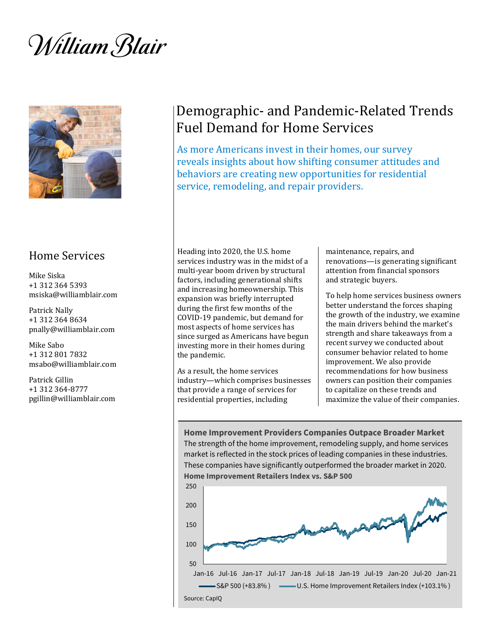William Blair



# Home Services

Mike Siska +1 312 364 5393 msiska@williamblair.com

Patrick Nally +1 312 364 8634 pnally@williamblair.com

Mike Sabo +1 312 801 7832 msabo@williamblair.com

Patrick Gillin +1 312 364-8777 pgillin@williamblair.com

# Demographic- and Pandemic-Related Trends Fuel Demand for Home Services

As more Americans invest in their homes, our survey reveals insights about how shifting consumer attitudes and behaviors are creating new opportunities for residential service, remodeling, and repair providers.

Heading into 2020, the U.S. home services industry was in the midst of a multi-year boom driven by structural factors, including generational shifts and increasing homeownership. This expansion was briefly interrupted during the first few months of the COVID-19 pandemic, but demand for most aspects of home services has since surged as Americans have begun investing more in their homes during the pandemic.

As a result, the home services industry—which comprises businesses that provide a range of services for residential properties, including

maintenance, repairs, and renovations—is generating significant attention from financial sponsors and strategic buyers.

To help home services business owners better understand the forces shaping the growth of the industry, we examine the main drivers behind the market's strength and share takeaways from a recent survey we conducted about consumer behavior related to home improvement. We also provide recommendations for how business owners can position their companies to capitalize on these trends and maximize the value of their companies.

**Home Improvement Providers Companies Outpace Broader Market** The strength of the home improvement, remodeling supply, and home services market is reflected in the stock prices of leading companies in these industries. These companies have significantly outperformed the broader market in 2020. **Home Improvement Retailers Index vs. S&P 500** 

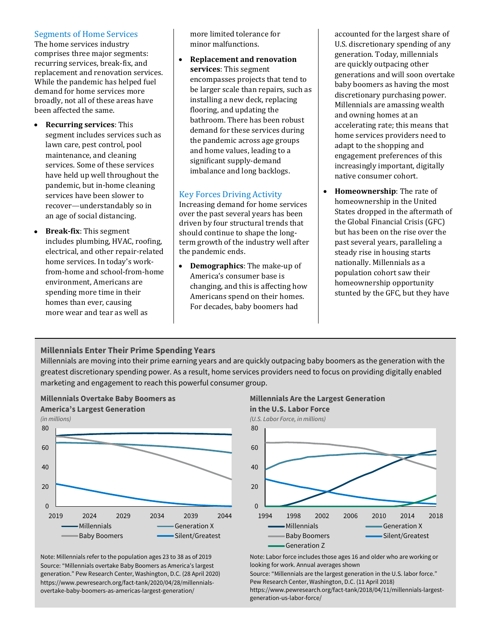#### Segments of Home Services

The home services industry comprises three major segments: recurring services, break-fix, and replacement and renovation services. While the pandemic has helped fuel demand for home services more broadly, not all of these areas have been affected the same.

- **Recurring services**: This segment includes services such as lawn care, pest control, pool maintenance, and cleaning services. Some of these services have held up well throughout the pandemic, but in-home cleaning services have been slower to recover—understandably so in an age of social distancing.
- **Break-fix**: This segment includes plumbing, HVAC, roofing, electrical, and other repair-related home services. In today's workfrom-home and school-from-home environment, Americans are spending more time in their homes than ever, causing more wear and tear as well as

more limited tolerance for minor malfunctions.

• **Replacement and renovation services**: This segment encompasses projects that tend to be larger scale than repairs, such as installing a new deck, replacing flooring, and updating the bathroom. There has been robust demand for these services during the pandemic across age groups and home values, leading to a significant supply-demand imbalance and long backlogs.

# Key Forces Driving Activity

Increasing demand for home services over the past several years has been driven by four structural trends that should continue to shape the longterm growth of the industry well after the pandemic ends.

• **Demographics**: The make-up of America's consumer base is changing, and this is affecting how Americans spend on their homes. For decades, baby boomers had

accounted for the largest share of U.S. discretionary spending of any generation. Today, millennials are quickly outpacing other generations and will soon overtake baby boomers as having the most discretionary purchasing power. Millennials are amassing wealth and owning homes at an accelerating rate; this means that home services providers need to adapt to the shopping and engagement preferences of this increasingly important, digitally native consumer cohort.

• **Homeownership**: The rate of homeownership in the United States dropped in the aftermath of the Global Financial Crisis (GFC) but has been on the rise over the past several years, paralleling a steady rise in housing starts nationally. Millennials as a population cohort saw their homeownership opportunity stunted by the GFC, but they have

# **Millennials Enter Their Prime Spending Years**

Millennials are moving into their prime earning years and are quickly outpacing baby boomers as the generation with the greatest discretionary spending power. As a result, home services providers need to focus on providing digitally enabled marketing and engagement to reach this powerful consumer group.



Note: Millennials refer to the population ages 23 to 38 as of 2019 Source: "Millennials overtake Baby Boomers as America's largest generation." Pew Research Center, Washington, D.C. (28 April 2020) https://www.pewresearch.org/fact-tank/2020/04/28/millennialsovertake-baby-boomers-as-americas-largest-generation/

#### **Millennials Are the Largest Generation in the U.S. Labor Force**



Note: Labor force includes those ages 16 and older who are working or looking for work. Annual averages shown

Source: "Millennials are the largest generation in the U.S. labor force." Pew Research Center, Washington, D.C. (11 April 2018)

https://www.pewresearch.org/fact-tank/2018/04/11/millennials-largestgeneration-us-labor-force/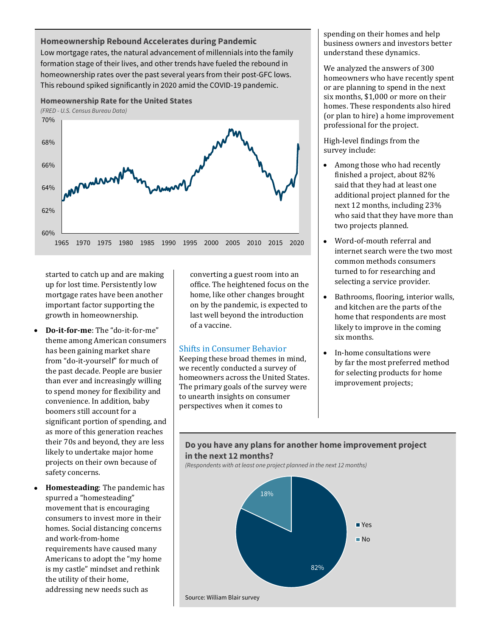#### **Homeownership Rebound Accelerates during Pandemic**

Low mortgage rates, the natural advancement of millennials into the family formation stage of their lives, and other trends have fueled the rebound in homeownership rates over the past several years from their post-GFC lows. This rebound spiked significantly in 2020 amid the COVID-19 pandemic.



*(FRED - U.S. Census Bureau Data)*



started to catch up and are making up for lost time. Persistently low mortgage rates have been another important factor supporting the growth in homeownership.

- **Do-it-for-me**: The "do-it-for-me" theme among American consumers has been gaining market share from "do-it-yourself" for much of the past decade. People are busier than ever and increasingly willing to spend money for flexibility and convenience. In addition, baby boomers still account for a significant portion of spending, and as more of this generation reaches their 70s and beyond, they are less likely to undertake major home projects on their own because of safety concerns.
- **Homesteading**: The pandemic has spurred a "homesteading" movement that is encouraging consumers to invest more in their homes. Social distancing concerns and work-from-home requirements have caused many Americans to adopt the "my home is my castle" mindset and rethink the utility of their home, addressing new needs such as

converting a guest room into an office. The heightened focus on the home, like other changes brought on by the pandemic, is expected to last well beyond the introduction of a vaccine.

#### Shifts in Consumer Behavior

Keeping these broad themes in mind, we recently conducted a survey of homeowners across the United States. The primary goals of the survey were to unearth insights on consumer perspectives when it comes to

spending on their homes and help business owners and investors better understand these dynamics.

We analyzed the answers of 300 homeowners who have recently spent or are planning to spend in the next six months, \$1,000 or more on their homes. These respondents also hired (or plan to hire) a home improvement professional for the project.

High-level findings from the survey include:

- Among those who had recently finished a project, about 82% said that they had at least one additional project planned for the next 12 months, including 23% who said that they have more than two projects planned.
- Word-of-mouth referral and internet search were the two most common methods consumers turned to for researching and selecting a service provider.
- Bathrooms, flooring, interior walls, and kitchen are the parts of the home that respondents are most likely to improve in the coming six months.
- In-home consultations were by far the most preferred method for selecting products for home improvement projects;

## **Do you have any plans for another home improvement project in the next 12 months?**

*(Respondents with at least one project planned in the next 12 months)*

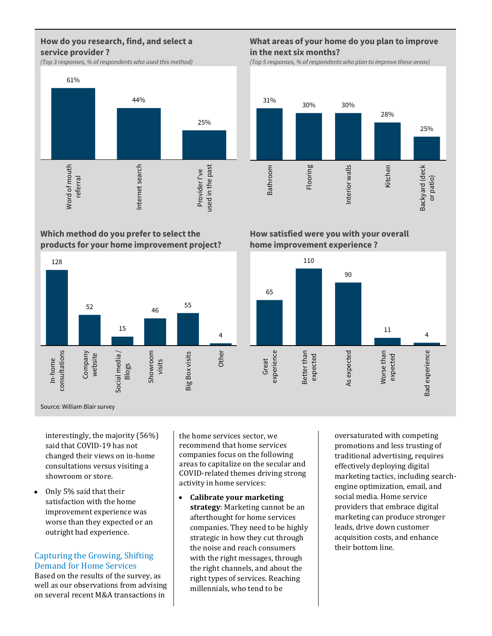# **How do you research, find, and select a service provider ?**

*(Top 3 responses, % of respondents who used this method)*



**Which method do you prefer to select the products for your home improvement project?**



Source: William Blair survey

interestingly, the majority (56%) said that COVID-19 has not changed their views on in-home consultations versus visiting a showroom or store.

• Only 5% said that their satisfaction with the home improvement experience was worse than they expected or an outright bad experience.

# Capturing the Growing, Shifting Demand for Home Services

Based on the results of the survey, as well as our observations from advising on several recent M&A transactions in

the home services sector, we recommend that home services companies focus on the following areas to capitalize on the secular and COVID-related themes driving strong activity in home services:

• **Calibrate your marketing strategy**: Marketing cannot be an afterthought for home services companies. They need to be highly strategic in how they cut through the noise and reach consumers with the right messages, through the right channels, and about the right types of services. Reaching millennials, who tend to be

oversaturated with competing promotions and less trusting of traditional advertising, requires effectively deploying digital marketing tactics, including searchengine optimization, email, and social media. Home service providers that embrace digital marketing can produce stronger leads, drive down customer acquisition costs, and enhance their bottom line.

**How satisfied were you with your overall** 

Interior walls

Interior walls

**home improvement experience ?**

31% 30% 30%

Flooring

Bathroom

**Bathroom** 



## **What areas of your home do you plan to improve in the next six months?**

28%

Kitchen

25%

Backyard (deck or patio)

Backyard (deck

*(Top 5 responses, % of respondents who plan to improve these areas)*